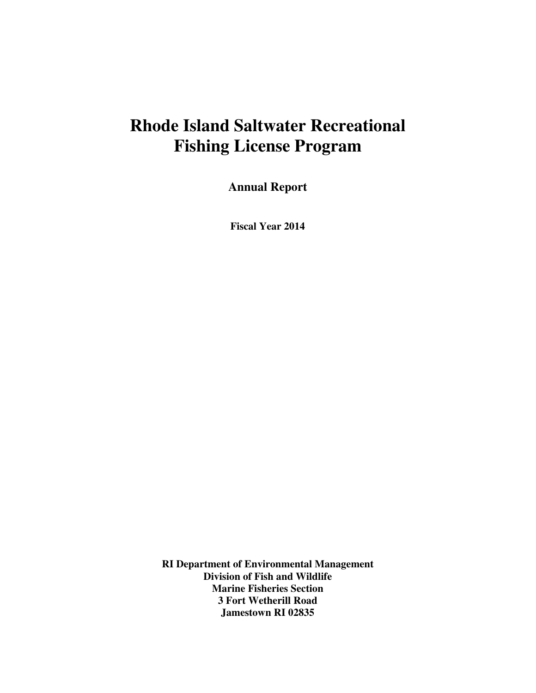# **Rhode Island Saltwater Recreational Fishing License Program**

**Annual Report** 

**Fiscal Year 2014** 

**RI Department of Environmental Management Division of Fish and Wildlife Marine Fisheries Section 3 Fort Wetherill Road Jamestown RI 02835**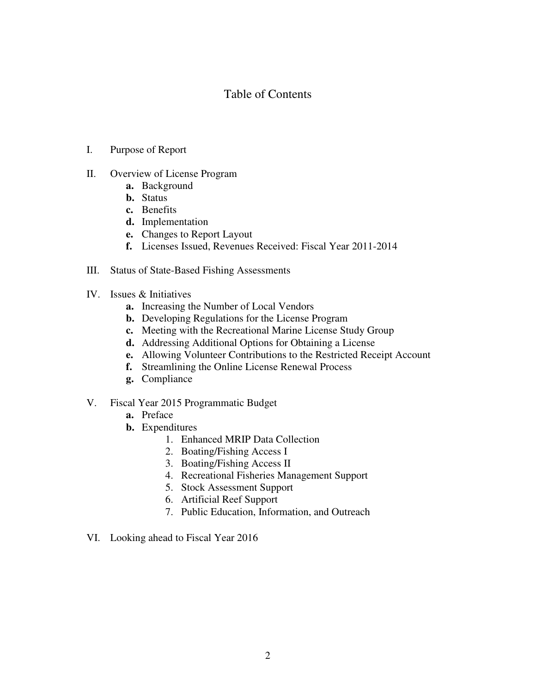## Table of Contents

- I. Purpose of Report
- II. Overview of License Program
	- **a.** Background
	- **b.** Status
	- **c.** Benefits
	- **d.** Implementation
	- **e.** Changes to Report Layout
	- **f.** Licenses Issued, Revenues Received: Fiscal Year 2011-2014
- III. Status of State-Based Fishing Assessments
- IV. Issues & Initiatives
	- **a.** Increasing the Number of Local Vendors
	- **b.** Developing Regulations for the License Program
	- **c.** Meeting with the Recreational Marine License Study Group
	- **d.** Addressing Additional Options for Obtaining a License
	- **e.** Allowing Volunteer Contributions to the Restricted Receipt Account
	- **f.** Streamlining the Online License Renewal Process
	- **g.** Compliance
- V. Fiscal Year 2015 Programmatic Budget
	- **a.** Preface
	- **b.** Expenditures
		- 1. Enhanced MRIP Data Collection
		- 2. Boating/Fishing Access I
		- 3. Boating/Fishing Access II
		- 4. Recreational Fisheries Management Support
		- 5. Stock Assessment Support
		- 6. Artificial Reef Support
		- 7. Public Education, Information, and Outreach
- VI. Looking ahead to Fiscal Year 2016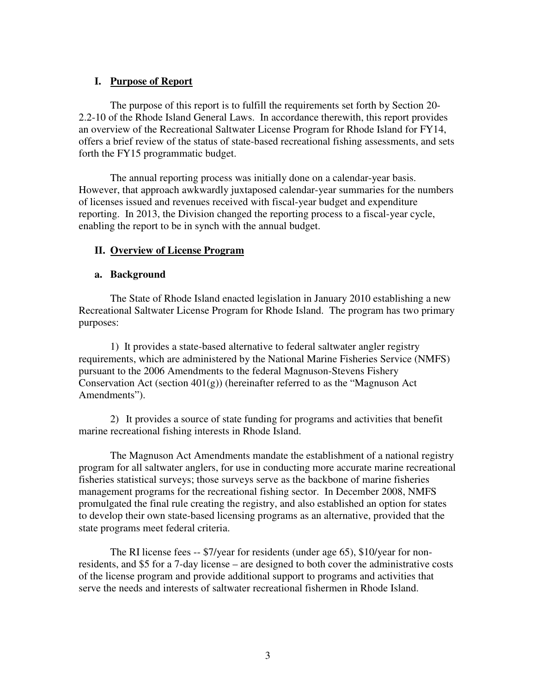## **I. Purpose of Report**

 The purpose of this report is to fulfill the requirements set forth by Section 20- 2.2-10 of the Rhode Island General Laws. In accordance therewith, this report provides an overview of the Recreational Saltwater License Program for Rhode Island for FY14, offers a brief review of the status of state-based recreational fishing assessments, and sets forth the FY15 programmatic budget.

The annual reporting process was initially done on a calendar-year basis. However, that approach awkwardly juxtaposed calendar-year summaries for the numbers of licenses issued and revenues received with fiscal-year budget and expenditure reporting. In 2013, the Division changed the reporting process to a fiscal-year cycle, enabling the report to be in synch with the annual budget.

## **II. Overview of License Program**

## **a. Background**

The State of Rhode Island enacted legislation in January 2010 establishing a new Recreational Saltwater License Program for Rhode Island. The program has two primary purposes:

 1) It provides a state-based alternative to federal saltwater angler registry requirements, which are administered by the National Marine Fisheries Service (NMFS) pursuant to the 2006 Amendments to the federal Magnuson-Stevens Fishery Conservation Act (section  $401(g)$ ) (hereinafter referred to as the "Magnuson Act" Amendments").

2) It provides a source of state funding for programs and activities that benefit marine recreational fishing interests in Rhode Island.

The Magnuson Act Amendments mandate the establishment of a national registry program for all saltwater anglers, for use in conducting more accurate marine recreational fisheries statistical surveys; those surveys serve as the backbone of marine fisheries management programs for the recreational fishing sector. In December 2008, NMFS promulgated the final rule creating the registry, and also established an option for states to develop their own state-based licensing programs as an alternative, provided that the state programs meet federal criteria.

The RI license fees -- \$7/year for residents (under age 65), \$10/year for nonresidents, and \$5 for a 7-day license – are designed to both cover the administrative costs of the license program and provide additional support to programs and activities that serve the needs and interests of saltwater recreational fishermen in Rhode Island.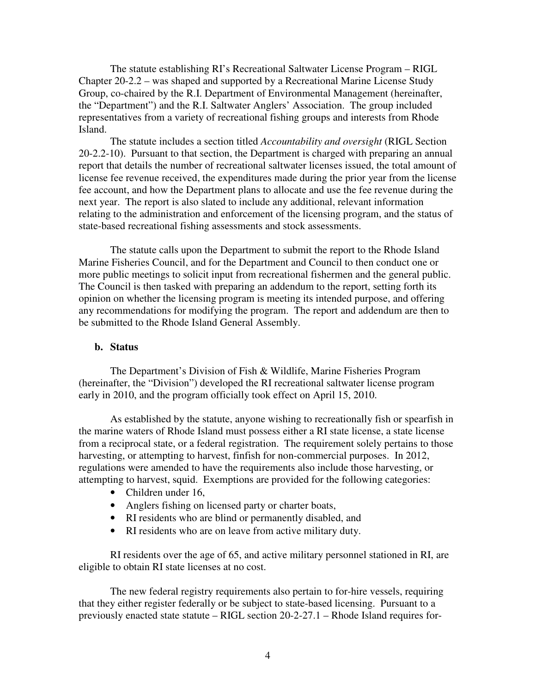The statute establishing RI's Recreational Saltwater License Program – RIGL Chapter 20-2.2 – was shaped and supported by a Recreational Marine License Study Group, co-chaired by the R.I. Department of Environmental Management (hereinafter, the "Department") and the R.I. Saltwater Anglers' Association. The group included representatives from a variety of recreational fishing groups and interests from Rhode Island.

The statute includes a section titled *Accountability and oversight* (RIGL Section 20-2.2-10). Pursuant to that section, the Department is charged with preparing an annual report that details the number of recreational saltwater licenses issued, the total amount of license fee revenue received, the expenditures made during the prior year from the license fee account, and how the Department plans to allocate and use the fee revenue during the next year. The report is also slated to include any additional, relevant information relating to the administration and enforcement of the licensing program, and the status of state-based recreational fishing assessments and stock assessments.

The statute calls upon the Department to submit the report to the Rhode Island Marine Fisheries Council, and for the Department and Council to then conduct one or more public meetings to solicit input from recreational fishermen and the general public. The Council is then tasked with preparing an addendum to the report, setting forth its opinion on whether the licensing program is meeting its intended purpose, and offering any recommendations for modifying the program. The report and addendum are then to be submitted to the Rhode Island General Assembly.

#### **b. Status**

The Department's Division of Fish & Wildlife, Marine Fisheries Program (hereinafter, the "Division") developed the RI recreational saltwater license program early in 2010, and the program officially took effect on April 15, 2010.

 As established by the statute, anyone wishing to recreationally fish or spearfish in the marine waters of Rhode Island must possess either a RI state license, a state license from a reciprocal state, or a federal registration. The requirement solely pertains to those harvesting, or attempting to harvest, finfish for non-commercial purposes. In 2012, regulations were amended to have the requirements also include those harvesting, or attempting to harvest, squid. Exemptions are provided for the following categories:

- Children under 16,
- Anglers fishing on licensed party or charter boats,
- RI residents who are blind or permanently disabled, and
- RI residents who are on leave from active military duty.

RI residents over the age of 65, and active military personnel stationed in RI, are eligible to obtain RI state licenses at no cost.

The new federal registry requirements also pertain to for-hire vessels, requiring that they either register federally or be subject to state-based licensing. Pursuant to a previously enacted state statute – RIGL section 20-2-27.1 – Rhode Island requires for-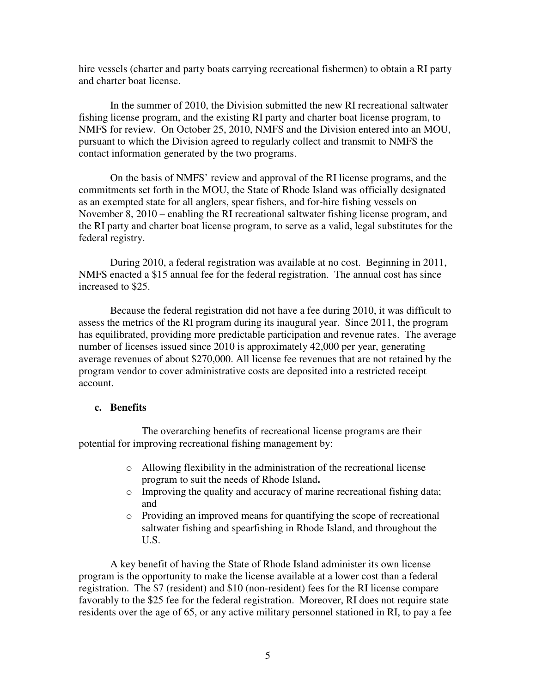hire vessels (charter and party boats carrying recreational fishermen) to obtain a RI party and charter boat license.

In the summer of 2010, the Division submitted the new RI recreational saltwater fishing license program, and the existing RI party and charter boat license program, to NMFS for review. On October 25, 2010, NMFS and the Division entered into an MOU, pursuant to which the Division agreed to regularly collect and transmit to NMFS the contact information generated by the two programs.

On the basis of NMFS' review and approval of the RI license programs, and the commitments set forth in the MOU, the State of Rhode Island was officially designated as an exempted state for all anglers, spear fishers, and for-hire fishing vessels on November 8, 2010 – enabling the RI recreational saltwater fishing license program, and the RI party and charter boat license program, to serve as a valid, legal substitutes for the federal registry.

During 2010, a federal registration was available at no cost. Beginning in 2011, NMFS enacted a \$15 annual fee for the federal registration. The annual cost has since increased to \$25.

Because the federal registration did not have a fee during 2010, it was difficult to assess the metrics of the RI program during its inaugural year. Since 2011, the program has equilibrated, providing more predictable participation and revenue rates. The average number of licenses issued since 2010 is approximately 42,000 per year, generating average revenues of about \$270,000. All license fee revenues that are not retained by the program vendor to cover administrative costs are deposited into a restricted receipt account.

## **c. Benefits**

 The overarching benefits of recreational license programs are their potential for improving recreational fishing management by:

- o Allowing flexibility in the administration of the recreational license program to suit the needs of Rhode Island**.**
- o Improving the quality and accuracy of marine recreational fishing data; and
- o Providing an improved means for quantifying the scope of recreational saltwater fishing and spearfishing in Rhode Island, and throughout the U.S.

A key benefit of having the State of Rhode Island administer its own license program is the opportunity to make the license available at a lower cost than a federal registration. The \$7 (resident) and \$10 (non-resident) fees for the RI license compare favorably to the \$25 fee for the federal registration. Moreover, RI does not require state residents over the age of 65, or any active military personnel stationed in RI, to pay a fee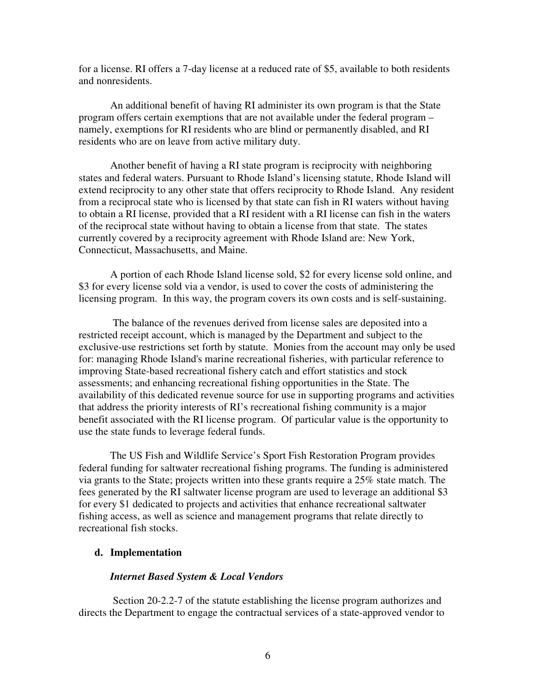for a license. RI offers a 7-day license at a reduced rate of \$5, available to both residents and nonresidents.

An additional benefit of having RI administer its own program is that the State program offers certain exemptions that are not available under the federal program – namely, exemptions for RI residents who are blind or permanently disabled, and RI residents who are on leave from active military duty.

Another benefit of having a RI state program is reciprocity with neighboring states and federal waters. Pursuant to Rhode Island's licensing statute, Rhode Island will extend reciprocity to any other state that offers reciprocity to Rhode Island. Any resident from a reciprocal state who is licensed by that state can fish in RI waters without having to obtain a RI license, provided that a RI resident with a RI license can fish in the waters of the reciprocal state without having to obtain a license from that state. The states currently covered by a reciprocity agreement with Rhode Island are: New York, Connecticut, Massachusetts, and Maine.

A portion of each Rhode Island license sold, \$2 for every license sold online, and \$3 for every license sold via a vendor, is used to cover the costs of administering the licensing program. In this way, the program covers its own costs and is self-sustaining.

 The balance of the revenues derived from license sales are deposited into a restricted receipt account, which is managed by the Department and subject to the exclusive-use restrictions set forth by statute. Monies from the account may only be used for: managing Rhode Island's marine recreational fisheries, with particular reference to improving State-based recreational fishery catch and effort statistics and stock assessments; and enhancing recreational fishing opportunities in the State. The availability of this dedicated revenue source for use in supporting programs and activities that address the priority interests of RI's recreational fishing community is a major benefit associated with the RI license program. Of particular value is the opportunity to use the state funds to leverage federal funds.

The US Fish and Wildlife Service's Sport Fish Restoration Program provides federal funding for saltwater recreational fishing programs. The funding is administered via grants to the State; projects written into these grants require a 25% state match. The fees generated by the RI saltwater license program are used to leverage an additional \$3 for every \$1 dedicated to projects and activities that enhance recreational saltwater fishing access, as well as science and management programs that relate directly to recreational fish stocks.

#### **d. Implementation**

#### *Internet Based System & Local Vendors*

 Section 20-2.2-7 of the statute establishing the license program authorizes and directs the Department to engage the contractual services of a state-approved vendor to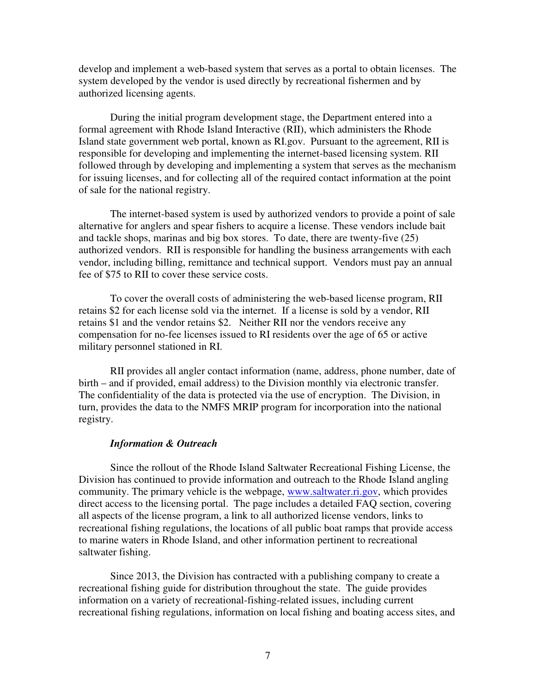develop and implement a web-based system that serves as a portal to obtain licenses. The system developed by the vendor is used directly by recreational fishermen and by authorized licensing agents.

During the initial program development stage, the Department entered into a formal agreement with Rhode Island Interactive (RII), which administers the Rhode Island state government web portal, known as RI.gov. Pursuant to the agreement, RII is responsible for developing and implementing the internet-based licensing system. RII followed through by developing and implementing a system that serves as the mechanism for issuing licenses, and for collecting all of the required contact information at the point of sale for the national registry.

The internet-based system is used by authorized vendors to provide a point of sale alternative for anglers and spear fishers to acquire a license. These vendors include bait and tackle shops, marinas and big box stores. To date, there are twenty-five (25) authorized vendors. RII is responsible for handling the business arrangements with each vendor, including billing, remittance and technical support. Vendors must pay an annual fee of \$75 to RII to cover these service costs.

To cover the overall costs of administering the web-based license program, RII retains \$2 for each license sold via the internet. If a license is sold by a vendor, RII retains \$1 and the vendor retains \$2. Neither RII nor the vendors receive any compensation for no-fee licenses issued to RI residents over the age of 65 or active military personnel stationed in RI.

RII provides all angler contact information (name, address, phone number, date of birth – and if provided, email address) to the Division monthly via electronic transfer. The confidentiality of the data is protected via the use of encryption. The Division, in turn, provides the data to the NMFS MRIP program for incorporation into the national registry.

#### *Information & Outreach*

Since the rollout of the Rhode Island Saltwater Recreational Fishing License, the Division has continued to provide information and outreach to the Rhode Island angling community. The primary vehicle is the webpage, www.saltwater.ri.gov, which provides direct access to the licensing portal. The page includes a detailed FAQ section, covering all aspects of the license program, a link to all authorized license vendors, links to recreational fishing regulations, the locations of all public boat ramps that provide access to marine waters in Rhode Island, and other information pertinent to recreational saltwater fishing.

Since 2013, the Division has contracted with a publishing company to create a recreational fishing guide for distribution throughout the state. The guide provides information on a variety of recreational-fishing-related issues, including current recreational fishing regulations, information on local fishing and boating access sites, and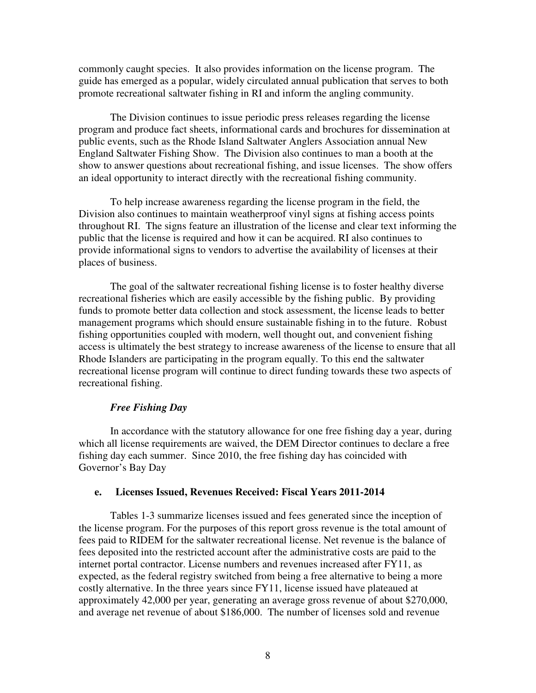commonly caught species. It also provides information on the license program. The guide has emerged as a popular, widely circulated annual publication that serves to both promote recreational saltwater fishing in RI and inform the angling community.

The Division continues to issue periodic press releases regarding the license program and produce fact sheets, informational cards and brochures for dissemination at public events, such as the Rhode Island Saltwater Anglers Association annual New England Saltwater Fishing Show. The Division also continues to man a booth at the show to answer questions about recreational fishing, and issue licenses. The show offers an ideal opportunity to interact directly with the recreational fishing community.

To help increase awareness regarding the license program in the field, the Division also continues to maintain weatherproof vinyl signs at fishing access points throughout RI. The signs feature an illustration of the license and clear text informing the public that the license is required and how it can be acquired. RI also continues to provide informational signs to vendors to advertise the availability of licenses at their places of business.

The goal of the saltwater recreational fishing license is to foster healthy diverse recreational fisheries which are easily accessible by the fishing public. By providing funds to promote better data collection and stock assessment, the license leads to better management programs which should ensure sustainable fishing in to the future. Robust fishing opportunities coupled with modern, well thought out, and convenient fishing access is ultimately the best strategy to increase awareness of the license to ensure that all Rhode Islanders are participating in the program equally. To this end the saltwater recreational license program will continue to direct funding towards these two aspects of recreational fishing.

#### *Free Fishing Day*

In accordance with the statutory allowance for one free fishing day a year, during which all license requirements are waived, the DEM Director continues to declare a free fishing day each summer. Since 2010, the free fishing day has coincided with Governor's Bay Day

#### **e. Licenses Issued, Revenues Received: Fiscal Years 2011-2014**

Tables 1-3 summarize licenses issued and fees generated since the inception of the license program. For the purposes of this report gross revenue is the total amount of fees paid to RIDEM for the saltwater recreational license. Net revenue is the balance of fees deposited into the restricted account after the administrative costs are paid to the internet portal contractor. License numbers and revenues increased after FY11, as expected, as the federal registry switched from being a free alternative to being a more costly alternative. In the three years since FY11, license issued have plateaued at approximately 42,000 per year, generating an average gross revenue of about \$270,000, and average net revenue of about \$186,000. The number of licenses sold and revenue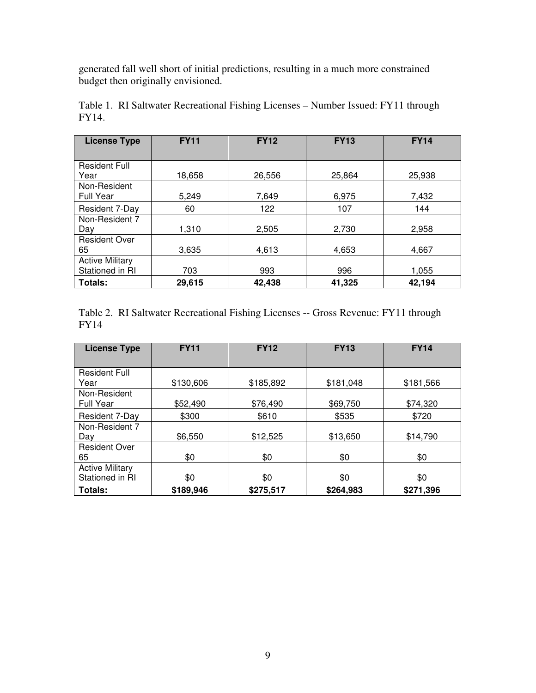generated fall well short of initial predictions, resulting in a much more constrained budget then originally envisioned.

| <b>License Type</b>    | <b>FY11</b> | <b>FY12</b> | <b>FY13</b> | <b>FY14</b> |  |
|------------------------|-------------|-------------|-------------|-------------|--|
|                        |             |             |             |             |  |
| <b>Resident Full</b>   |             |             |             |             |  |
| Year                   | 18,658      | 26,556      | 25,864      | 25,938      |  |
| Non-Resident           |             |             |             |             |  |
| <b>Full Year</b>       | 5,249       | 7,649       | 6,975       | 7,432       |  |
| Resident 7-Day         | 60          | 122         | 107         | 144         |  |
| Non-Resident 7         |             |             |             |             |  |
| Day                    | 1,310       | 2,505       | 2,730       | 2,958       |  |
| <b>Resident Over</b>   |             |             |             |             |  |
| 65                     | 3,635       | 4,613       | 4,653       | 4,667       |  |
| <b>Active Military</b> |             |             |             |             |  |
| Stationed in RI        | 703         | 993         | 996         | 1,055       |  |
| Totals:                | 29,615      | 42,438      | 41,325      | 42,194      |  |

Table 1. RI Saltwater Recreational Fishing Licenses – Number Issued: FY11 through FY14.

Table 2. RI Saltwater Recreational Fishing Licenses -- Gross Revenue: FY11 through FY14

| <b>License Type</b>              | <b>FY11</b> | <b>FY12</b> | <b>FY13</b> | <b>FY14</b> |
|----------------------------------|-------------|-------------|-------------|-------------|
|                                  |             |             |             |             |
| <b>Resident Full</b>             |             |             |             |             |
| Year                             | \$130,606   | \$185,892   | \$181,048   | \$181,566   |
| Non-Resident<br><b>Full Year</b> | \$52,490    | \$76,490    | \$69,750    |             |
|                                  |             |             |             | \$74,320    |
| Resident 7-Day                   | \$300       | \$610       | \$535       | \$720       |
| Non-Resident 7                   |             |             |             |             |
| Dav                              | \$6,550     | \$12,525    | \$13,650    | \$14,790    |
| <b>Resident Over</b>             |             |             |             |             |
| 65                               | \$0         | \$0         | \$0         | \$0         |
| <b>Active Military</b>           |             |             |             |             |
| Stationed in RI                  | \$0         | \$0         | \$0         | \$0         |
| Totals:                          | \$189,946   | \$275,517   | \$264,983   | \$271,396   |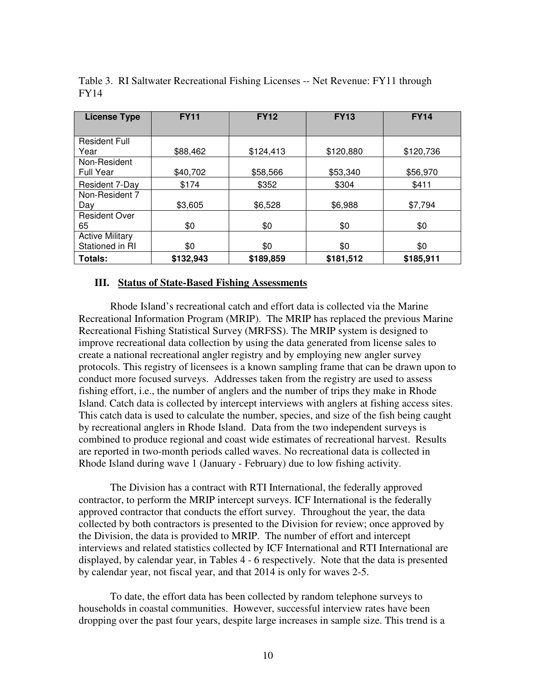| <b>License Type</b>    | <b>FY11</b> | <b>FY12</b> | <b>FY13</b> | <b>FY14</b> |  |
|------------------------|-------------|-------------|-------------|-------------|--|
|                        |             |             |             |             |  |
| <b>Resident Full</b>   |             |             |             |             |  |
| Year                   | \$88,462    | \$124,413   | \$120,880   | \$120,736   |  |
| Non-Resident           |             |             |             |             |  |
| <b>Full Year</b>       | \$40,702    | \$58,566    | \$53,340    | \$56,970    |  |
| Resident 7-Day         | \$174       | \$352       | \$304       | \$411       |  |
| Non-Resident 7         |             |             |             |             |  |
| Day                    | \$3,605     | \$6,528     | \$6,988     | \$7,794     |  |
| <b>Resident Over</b>   |             |             |             |             |  |
| 65                     | \$0         | \$0         | \$0         | \$0         |  |
| <b>Active Military</b> |             |             |             |             |  |
| Stationed in RI        | \$0         | \$0         | \$0         | \$0         |  |
| Totals:                | \$132,943   | \$189,859   | \$181,512   | \$185,911   |  |

Table 3. RI Saltwater Recreational Fishing Licenses -- Net Revenue: FY11 through FY14

#### **III. Status of State-Based Fishing Assessments**

Rhode Island's recreational catch and effort data is collected via the Marine Recreational Information Program (MRIP). The MRIP has replaced the previous Marine Recreational Fishing Statistical Survey (MRFSS). The MRIP system is designed to improve recreational data collection by using the data generated from license sales to create a national recreational angler registry and by employing new angler survey protocols. This registry of licensees is a known sampling frame that can be drawn upon to conduct more focused surveys. Addresses taken from the registry are used to assess fishing effort, i.e., the number of anglers and the number of trips they make in Rhode Island. Catch data is collected by intercept interviews with anglers at fishing access sites. This catch data is used to calculate the number, species, and size of the fish being caught by recreational anglers in Rhode Island. Data from the two independent surveys is combined to produce regional and coast wide estimates of recreational harvest. Results are reported in two-month periods called waves. No recreational data is collected in Rhode Island during wave 1 (January - February) due to low fishing activity.

The Division has a contract with RTI International, the federally approved contractor, to perform the MRIP intercept surveys. ICF International is the federally approved contractor that conducts the effort survey. Throughout the year, the data collected by both contractors is presented to the Division for review; once approved by the Division, the data is provided to MRIP. The number of effort and intercept interviews and related statistics collected by ICF International and RTI International are displayed, by calendar year, in Tables 4 - 6 respectively. Note that the data is presented by calendar year, not fiscal year, and that 2014 is only for waves 2-5.

To date, the effort data has been collected by random telephone surveys to households in coastal communities. However, successful interview rates have been dropping over the past four years, despite large increases in sample size. This trend is a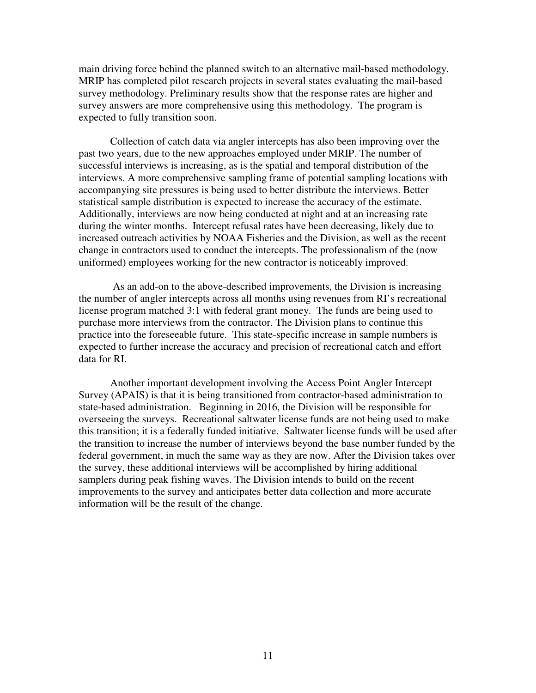main driving force behind the planned switch to an alternative mail-based methodology. MRIP has completed pilot research projects in several states evaluating the mail-based survey methodology. Preliminary results show that the response rates are higher and survey answers are more comprehensive using this methodology. The program is expected to fully transition soon.

Collection of catch data via angler intercepts has also been improving over the past two years, due to the new approaches employed under MRIP. The number of successful interviews is increasing, as is the spatial and temporal distribution of the interviews. A more comprehensive sampling frame of potential sampling locations with accompanying site pressures is being used to better distribute the interviews. Better statistical sample distribution is expected to increase the accuracy of the estimate. Additionally, interviews are now being conducted at night and at an increasing rate during the winter months. Intercept refusal rates have been decreasing, likely due to increased outreach activities by NOAA Fisheries and the Division, as well as the recent change in contractors used to conduct the intercepts. The professionalism of the (now uniformed) employees working for the new contractor is noticeably improved.

 As an add-on to the above-described improvements, the Division is increasing the number of angler intercepts across all months using revenues from RI's recreational license program matched 3:1 with federal grant money. The funds are being used to purchase more interviews from the contractor. The Division plans to continue this practice into the foreseeable future. This state-specific increase in sample numbers is expected to further increase the accuracy and precision of recreational catch and effort data for RI.

Another important development involving the Access Point Angler Intercept Survey (APAIS) is that it is being transitioned from contractor-based administration to state-based administration. Beginning in 2016, the Division will be responsible for overseeing the surveys. Recreational saltwater license funds are not being used to make this transition; it is a federally funded initiative. Saltwater license funds will be used after the transition to increase the number of interviews beyond the base number funded by the federal government, in much the same way as they are now. After the Division takes over the survey, these additional interviews will be accomplished by hiring additional samplers during peak fishing waves. The Division intends to build on the recent improvements to the survey and anticipates better data collection and more accurate information will be the result of the change.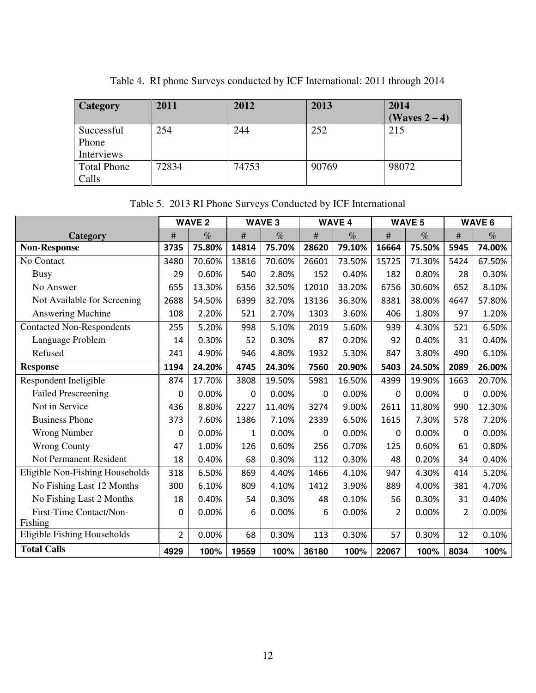| <b>Category</b>    | 2011  | 2012  | 2013  | 2014          |
|--------------------|-------|-------|-------|---------------|
|                    |       |       |       | (Waves 2 – 4) |
| Successful         | 254   | 244   | 252   | 215           |
| Phone              |       |       |       |               |
| Interviews         |       |       |       |               |
| <b>Total Phone</b> | 72834 | 74753 | 90769 | 98072         |
| Calls              |       |       |       |               |

Table 4. RI phone Surveys conducted by ICF International: 2011 through 2014

Table 5. 2013 RI Phone Surveys Conducted by ICF International

|                                  | <b>WAVE 2</b>  |        | <b>WAVE 3</b> |        | <b>WAVE 4</b> |        | <b>WAVE 5</b>  |        | <b>WAVE 6</b>  |        |
|----------------------------------|----------------|--------|---------------|--------|---------------|--------|----------------|--------|----------------|--------|
| Category                         | $\#$           | $\%$   | $\#$          | %      | $\#$          | $\%$   | #              | $\%$   | $\#$           | $\%$   |
| <b>Non-Response</b>              | 3735           | 75.80% | 14814         | 75.70% | 28620         | 79.10% | 16664          | 75.50% | 5945           | 74.00% |
| No Contact                       | 3480           | 70.60% | 13816         | 70.60% | 26601         | 73.50% | 15725          | 71.30% | 5424           | 67.50% |
| <b>Busy</b>                      | 29             | 0.60%  | 540           | 2.80%  | 152           | 0.40%  | 182            | 0.80%  | 28             | 0.30%  |
| No Answer                        | 655            | 13.30% | 6356          | 32.50% | 12010         | 33.20% | 6756           | 30.60% | 652            | 8.10%  |
| Not Available for Screening      | 2688           | 54.50% | 6399          | 32.70% | 13136         | 36.30% | 8381           | 38.00% | 4647           | 57.80% |
| Answering Machine                | 108            | 2.20%  | 521           | 2.70%  | 1303          | 3.60%  | 406            | 1.80%  | 97             | 1.20%  |
| <b>Contacted Non-Respondents</b> | 255            | 5.20%  | 998           | 5.10%  | 2019          | 5.60%  | 939            | 4.30%  | 521            | 6.50%  |
| Language Problem                 | 14             | 0.30%  | 52            | 0.30%  | 87            | 0.20%  | 92             | 0.40%  | 31             | 0.40%  |
| Refused                          | 241            | 4.90%  | 946           | 4.80%  | 1932          | 5.30%  | 847            | 3.80%  | 490            | 6.10%  |
| <b>Response</b>                  | 1194           | 24.20% | 4745          | 24.30% | 7560          | 20.90% | 5403           | 24.50% | 2089           | 26.00% |
| Respondent Ineligible            | 874            | 17.70% | 3808          | 19.50% | 5981          | 16.50% | 4399           | 19.90% | 1663           | 20.70% |
| <b>Failed Prescreening</b>       | 0              | 0.00%  | 0             | 0.00%  | 0             | 0.00%  | 0              | 0.00%  | 0              | 0.00%  |
| Not in Service                   | 436            | 8.80%  | 2227          | 11.40% | 3274          | 9.00%  | 2611           | 11.80% | 990            | 12.30% |
| <b>Business Phone</b>            | 373            | 7.60%  | 1386          | 7.10%  | 2339          | 6.50%  | 1615           | 7.30%  | 578            | 7.20%  |
| <b>Wrong Number</b>              | 0              | 0.00%  | 1             | 0.00%  | 0             | 0.00%  | 0              | 0.00%  | 0              | 0.00%  |
| <b>Wrong County</b>              | 47             | 1.00%  | 126           | 0.60%  | 256           | 0.70%  | 125            | 0.60%  | 61             | 0.80%  |
| Not Permanent Resident           | 18             | 0.40%  | 68            | 0.30%  | 112           | 0.30%  | 48             | 0.20%  | 34             | 0.40%  |
| Eligible Non-Fishing Households  | 318            | 6.50%  | 869           | 4.40%  | 1466          | 4.10%  | 947            | 4.30%  | 414            | 5.20%  |
| No Fishing Last 12 Months        | 300            | 6.10%  | 809           | 4.10%  | 1412          | 3.90%  | 889            | 4.00%  | 381            | 4.70%  |
| No Fishing Last 2 Months         | 18             | 0.40%  | 54            | 0.30%  | 48            | 0.10%  | 56             | 0.30%  | 31             | 0.40%  |
| First-Time Contact/Non-          | 0              | 0.00%  | 6             | 0.00%  | 6             | 0.00%  | $\overline{2}$ | 0.00%  | $\overline{2}$ | 0.00%  |
| Fishing                          |                |        |               |        |               |        |                |        |                |        |
| Eligible Fishing Households      | $\overline{2}$ | 0.00%  | 68            | 0.30%  | 113           | 0.30%  | 57             | 0.30%  | 12             | 0.10%  |
| <b>Total Calls</b>               | 4929           | 100%   | 19559         | 100%   | 36180         | 100%   | 22067          | 100%   | 8034           | 100%   |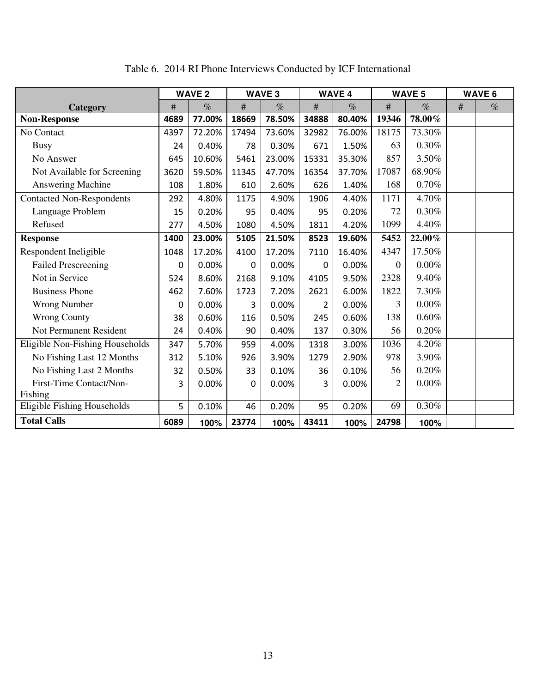|                                  | <b>WAVE 2</b> |        | <b>WAVE 3</b> |        | <b>WAVE 4</b> |        | <b>WAVE 5</b>  |          | <b>WAVE 6</b> |      |
|----------------------------------|---------------|--------|---------------|--------|---------------|--------|----------------|----------|---------------|------|
| Category                         | $\#$          | $\%$   | $\#$          | $\%$   | $\#$          | $\%$   | $\#$           | $\%$     | #             | $\%$ |
| <b>Non-Response</b>              | 4689          | 77.00% | 18669         | 78.50% | 34888         | 80.40% | 19346          | 78.00%   |               |      |
| No Contact                       | 4397          | 72.20% | 17494         | 73.60% | 32982         | 76.00% | 18175          | 73.30%   |               |      |
| <b>Busy</b>                      | 24            | 0.40%  | 78            | 0.30%  | 671           | 1.50%  | 63             | 0.30%    |               |      |
| No Answer                        | 645           | 10.60% | 5461          | 23.00% | 15331         | 35.30% | 857            | 3.50%    |               |      |
| Not Available for Screening      | 3620          | 59.50% | 11345         | 47.70% | 16354         | 37.70% | 17087          | 68.90%   |               |      |
| Answering Machine                | 108           | 1.80%  | 610           | 2.60%  | 626           | 1.40%  | 168            | 0.70%    |               |      |
| <b>Contacted Non-Respondents</b> | 292           | 4.80%  | 1175          | 4.90%  | 1906          | 4.40%  | 1171           | 4.70%    |               |      |
| Language Problem                 | 15            | 0.20%  | 95            | 0.40%  | 95            | 0.20%  | 72             | 0.30%    |               |      |
| Refused                          | 277           | 4.50%  | 1080          | 4.50%  | 1811          | 4.20%  | 1099           | 4.40%    |               |      |
| <b>Response</b>                  | 1400          | 23.00% | 5105          | 21.50% | 8523          | 19.60% | 5452           | 22.00%   |               |      |
| Respondent Ineligible            | 1048          | 17.20% | 4100          | 17.20% | 7110          | 16.40% | 4347           | 17.50%   |               |      |
| <b>Failed Prescreening</b>       | 0             | 0.00%  | 0             | 0.00%  | 0             | 0.00%  | $\Omega$       | $0.00\%$ |               |      |
| Not in Service                   | 524           | 8.60%  | 2168          | 9.10%  | 4105          | 9.50%  | 2328           | 9.40%    |               |      |
| <b>Business Phone</b>            | 462           | 7.60%  | 1723          | 7.20%  | 2621          | 6.00%  | 1822           | 7.30%    |               |      |
| <b>Wrong Number</b>              | 0             | 0.00%  | 3             | 0.00%  | 2             | 0.00%  | 3              | 0.00%    |               |      |
| <b>Wrong County</b>              | 38            | 0.60%  | 116           | 0.50%  | 245           | 0.60%  | 138            | 0.60%    |               |      |
| Not Permanent Resident           | 24            | 0.40%  | 90            | 0.40%  | 137           | 0.30%  | 56             | 0.20%    |               |      |
| Eligible Non-Fishing Households  | 347           | 5.70%  | 959           | 4.00%  | 1318          | 3.00%  | 1036           | 4.20%    |               |      |
| No Fishing Last 12 Months        | 312           | 5.10%  | 926           | 3.90%  | 1279          | 2.90%  | 978            | 3.90%    |               |      |
| No Fishing Last 2 Months         | 32            | 0.50%  | 33            | 0.10%  | 36            | 0.10%  | 56             | 0.20%    |               |      |
| First-Time Contact/Non-          | 3             | 0.00%  | $\Omega$      | 0.00%  | 3             | 0.00%  | $\overline{2}$ | 0.00%    |               |      |
| Fishing                          |               |        |               |        |               |        |                |          |               |      |
| Eligible Fishing Households      | 5             | 0.10%  | 46            | 0.20%  | 95            | 0.20%  | 69             | $0.30\%$ |               |      |
| <b>Total Calls</b>               | 6089          | 100%   | 23774         | 100%   | 43411         | 100%   | 24798          | 100%     |               |      |

Table 6. 2014 RI Phone Interviews Conducted by ICF International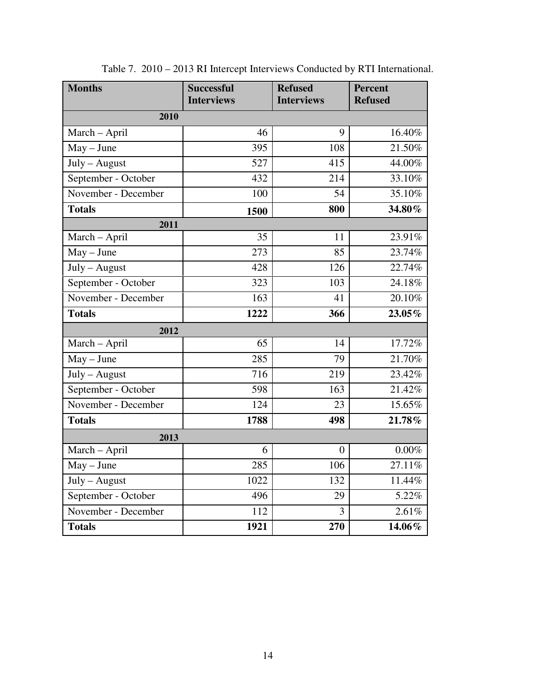| <b>Months</b>       | <b>Successful</b><br><b>Interviews</b> | <b>Refused</b><br><b>Interviews</b> | <b>Percent</b><br><b>Refused</b> |  |
|---------------------|----------------------------------------|-------------------------------------|----------------------------------|--|
|                     |                                        |                                     |                                  |  |
| 2010                |                                        |                                     |                                  |  |
| March - April       | 46                                     | 9                                   | 16.40%                           |  |
| $May - June$        | 395                                    | 108                                 | 21.50%                           |  |
| July - August       | 527                                    | 415                                 | 44.00%                           |  |
| September - October | 432                                    | 214                                 | 33.10%                           |  |
| November - December | 100                                    | 54                                  | 35.10%                           |  |
| <b>Totals</b>       | 1500                                   | 800                                 | 34.80%                           |  |
| 2011                |                                        |                                     |                                  |  |
| March - April       | 35                                     | 11                                  | 23.91%                           |  |
| $May - June$        | 273                                    | 85                                  | 23.74%                           |  |
| July - August       | 428                                    | 126                                 | 22.74%                           |  |
| September - October | 323                                    | 103                                 | 24.18%                           |  |
| November - December | 163                                    | 41                                  | 20.10%                           |  |
| <b>Totals</b>       | 1222                                   | 366                                 | 23.05%                           |  |
| 2012                |                                        |                                     |                                  |  |
| March - April       | 65                                     | 14                                  | 17.72%                           |  |
| $May - June$        | 285                                    | 79                                  | 21.70%                           |  |
| July - August       | 716                                    | 219                                 | 23.42%                           |  |
| September - October | 598                                    | 163                                 | 21.42%                           |  |
| November - December | 124                                    | 23                                  | 15.65%                           |  |
| <b>Totals</b>       | 1788                                   | 498                                 | 21.78%                           |  |
| 2013                |                                        |                                     |                                  |  |
| March - April       | 6                                      | $\overline{0}$                      | $0.00\%$                         |  |
| $May - June$        | 285                                    | 106                                 | 27.11%                           |  |
| July - August       | 1022                                   | 132                                 | 11.44%                           |  |
| September - October | 496                                    | 29                                  | 5.22%                            |  |
| November - December | 112                                    | 3                                   | 2.61%                            |  |
| <b>Totals</b>       | 1921                                   | 270                                 | 14.06%                           |  |

Table 7. 2010 – 2013 RI Intercept Interviews Conducted by RTI International.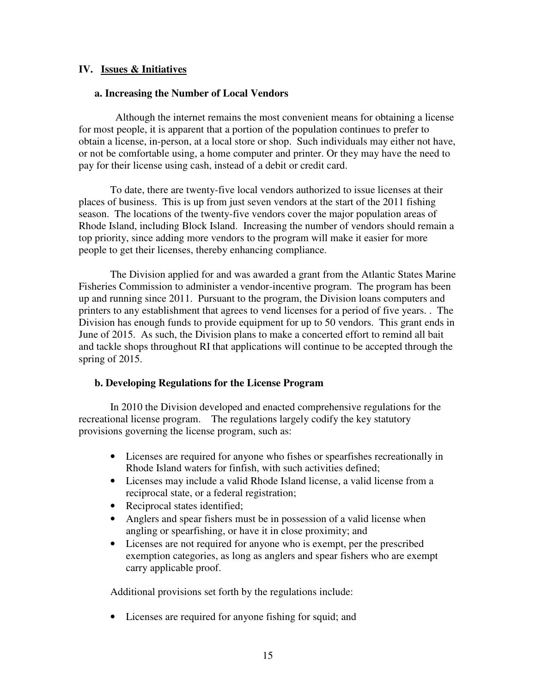## **IV. Issues & Initiatives**

## **a. Increasing the Number of Local Vendors**

 Although the internet remains the most convenient means for obtaining a license for most people, it is apparent that a portion of the population continues to prefer to obtain a license, in-person, at a local store or shop. Such individuals may either not have, or not be comfortable using, a home computer and printer. Or they may have the need to pay for their license using cash, instead of a debit or credit card.

To date, there are twenty-five local vendors authorized to issue licenses at their places of business. This is up from just seven vendors at the start of the 2011 fishing season. The locations of the twenty-five vendors cover the major population areas of Rhode Island, including Block Island. Increasing the number of vendors should remain a top priority, since adding more vendors to the program will make it easier for more people to get their licenses, thereby enhancing compliance.

The Division applied for and was awarded a grant from the Atlantic States Marine Fisheries Commission to administer a vendor-incentive program. The program has been up and running since 2011. Pursuant to the program, the Division loans computers and printers to any establishment that agrees to vend licenses for a period of five years. . The Division has enough funds to provide equipment for up to 50 vendors. This grant ends in June of 2015. As such, the Division plans to make a concerted effort to remind all bait and tackle shops throughout RI that applications will continue to be accepted through the spring of 2015.

## **b. Developing Regulations for the License Program**

In 2010 the Division developed and enacted comprehensive regulations for the recreational license program. The regulations largely codify the key statutory provisions governing the license program, such as:

- Licenses are required for anyone who fishes or spearfishes recreationally in Rhode Island waters for finfish, with such activities defined;
- Licenses may include a valid Rhode Island license, a valid license from a reciprocal state, or a federal registration;
- Reciprocal states identified;
- Anglers and spear fishers must be in possession of a valid license when angling or spearfishing, or have it in close proximity; and
- Licenses are not required for anyone who is exempt, per the prescribed exemption categories, as long as anglers and spear fishers who are exempt carry applicable proof.

Additional provisions set forth by the regulations include:

• Licenses are required for anyone fishing for squid; and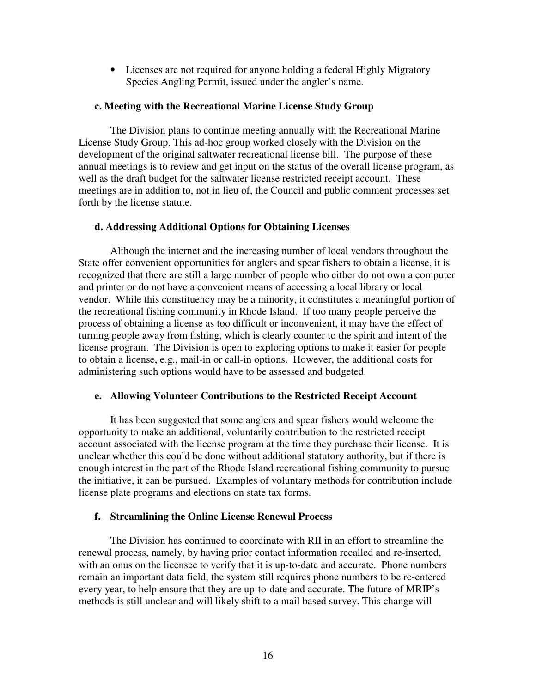• Licenses are not required for anyone holding a federal Highly Migratory Species Angling Permit, issued under the angler's name.

## **c. Meeting with the Recreational Marine License Study Group**

 The Division plans to continue meeting annually with the Recreational Marine License Study Group. This ad-hoc group worked closely with the Division on the development of the original saltwater recreational license bill. The purpose of these annual meetings is to review and get input on the status of the overall license program, as well as the draft budget for the saltwater license restricted receipt account. These meetings are in addition to, not in lieu of, the Council and public comment processes set forth by the license statute.

## **d. Addressing Additional Options for Obtaining Licenses**

Although the internet and the increasing number of local vendors throughout the State offer convenient opportunities for anglers and spear fishers to obtain a license, it is recognized that there are still a large number of people who either do not own a computer and printer or do not have a convenient means of accessing a local library or local vendor. While this constituency may be a minority, it constitutes a meaningful portion of the recreational fishing community in Rhode Island. If too many people perceive the process of obtaining a license as too difficult or inconvenient, it may have the effect of turning people away from fishing, which is clearly counter to the spirit and intent of the license program. The Division is open to exploring options to make it easier for people to obtain a license, e.g., mail-in or call-in options. However, the additional costs for administering such options would have to be assessed and budgeted.

## **e. Allowing Volunteer Contributions to the Restricted Receipt Account**

It has been suggested that some anglers and spear fishers would welcome the opportunity to make an additional, voluntarily contribution to the restricted receipt account associated with the license program at the time they purchase their license. It is unclear whether this could be done without additional statutory authority, but if there is enough interest in the part of the Rhode Island recreational fishing community to pursue the initiative, it can be pursued. Examples of voluntary methods for contribution include license plate programs and elections on state tax forms.

## **f. Streamlining the Online License Renewal Process**

The Division has continued to coordinate with RII in an effort to streamline the renewal process, namely, by having prior contact information recalled and re-inserted, with an onus on the licensee to verify that it is up-to-date and accurate. Phone numbers remain an important data field, the system still requires phone numbers to be re-entered every year, to help ensure that they are up-to-date and accurate. The future of MRIP's methods is still unclear and will likely shift to a mail based survey. This change will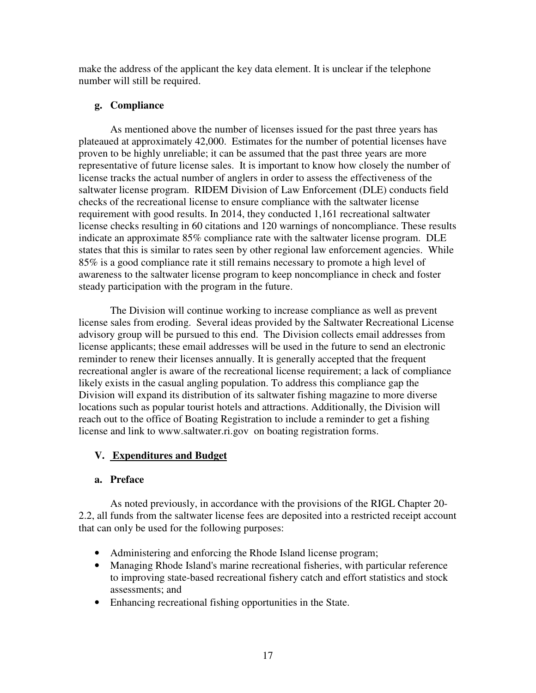make the address of the applicant the key data element. It is unclear if the telephone number will still be required.

## **g. Compliance**

As mentioned above the number of licenses issued for the past three years has plateaued at approximately 42,000. Estimates for the number of potential licenses have proven to be highly unreliable; it can be assumed that the past three years are more representative of future license sales. It is important to know how closely the number of license tracks the actual number of anglers in order to assess the effectiveness of the saltwater license program. RIDEM Division of Law Enforcement (DLE) conducts field checks of the recreational license to ensure compliance with the saltwater license requirement with good results. In 2014, they conducted 1,161 recreational saltwater license checks resulting in 60 citations and 120 warnings of noncompliance. These results indicate an approximate 85% compliance rate with the saltwater license program. DLE states that this is similar to rates seen by other regional law enforcement agencies. While 85% is a good compliance rate it still remains necessary to promote a high level of awareness to the saltwater license program to keep noncompliance in check and foster steady participation with the program in the future.

The Division will continue working to increase compliance as well as prevent license sales from eroding. Several ideas provided by the Saltwater Recreational License advisory group will be pursued to this end. The Division collects email addresses from license applicants; these email addresses will be used in the future to send an electronic reminder to renew their licenses annually. It is generally accepted that the frequent recreational angler is aware of the recreational license requirement; a lack of compliance likely exists in the casual angling population. To address this compliance gap the Division will expand its distribution of its saltwater fishing magazine to more diverse locations such as popular tourist hotels and attractions. Additionally, the Division will reach out to the office of Boating Registration to include a reminder to get a fishing license and link to www.saltwater.ri.gov on boating registration forms.

## **V. Expenditures and Budget**

## **a. Preface**

As noted previously, in accordance with the provisions of the RIGL Chapter 20- 2.2, all funds from the saltwater license fees are deposited into a restricted receipt account that can only be used for the following purposes:

- Administering and enforcing the Rhode Island license program;
- Managing Rhode Island's marine recreational fisheries, with particular reference to improving state-based recreational fishery catch and effort statistics and stock assessments; and
- Enhancing recreational fishing opportunities in the State.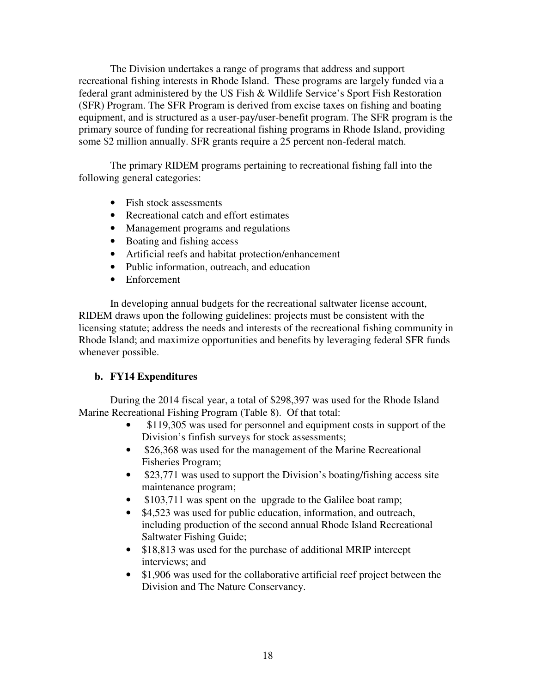The Division undertakes a range of programs that address and support recreational fishing interests in Rhode Island. These programs are largely funded via a federal grant administered by the US Fish & Wildlife Service's Sport Fish Restoration (SFR) Program. The SFR Program is derived from excise taxes on fishing and boating equipment, and is structured as a user-pay/user-benefit program. The SFR program is the primary source of funding for recreational fishing programs in Rhode Island, providing some \$2 million annually. SFR grants require a 25 percent non-federal match.

The primary RIDEM programs pertaining to recreational fishing fall into the following general categories:

- Fish stock assessments
- Recreational catch and effort estimates
- Management programs and regulations
- Boating and fishing access
- Artificial reefs and habitat protection/enhancement
- Public information, outreach, and education
- Enforcement

In developing annual budgets for the recreational saltwater license account, RIDEM draws upon the following guidelines: projects must be consistent with the licensing statute; address the needs and interests of the recreational fishing community in Rhode Island; and maximize opportunities and benefits by leveraging federal SFR funds whenever possible.

## **b. FY14 Expenditures**

During the 2014 fiscal year, a total of \$298,397 was used for the Rhode Island Marine Recreational Fishing Program (Table 8). Of that total:

- \$119,305 was used for personnel and equipment costs in support of the Division's finfish surveys for stock assessments;
- \$26,368 was used for the management of the Marine Recreational Fisheries Program;
- \$23,771 was used to support the Division's boating/fishing access site maintenance program;
- \$103,711 was spent on the upgrade to the Galilee boat ramp;
- \$4,523 was used for public education, information, and outreach, including production of the second annual Rhode Island Recreational Saltwater Fishing Guide;
- \$18,813 was used for the purchase of additional MRIP intercept interviews; and
- \$1,906 was used for the collaborative artificial reef project between the Division and The Nature Conservancy.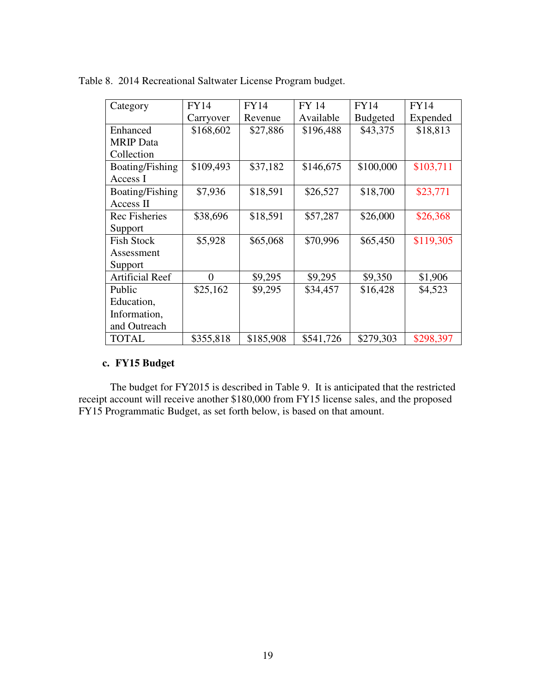| Category               | <b>FY14</b>    | <b>FY14</b> | FY 14     | <b>FY14</b>     | <b>FY14</b> |
|------------------------|----------------|-------------|-----------|-----------------|-------------|
|                        | Carryover      | Revenue     | Available | <b>Budgeted</b> | Expended    |
| Enhanced               | \$168,602      | \$27,886    | \$196,488 | \$43,375        | \$18,813    |
| <b>MRIP</b> Data       |                |             |           |                 |             |
| Collection             |                |             |           |                 |             |
| Boating/Fishing        | \$109,493      | \$37,182    | \$146,675 | \$100,000       | \$103,711   |
| Access I               |                |             |           |                 |             |
| Boating/Fishing        | \$7,936        | \$18,591    | \$26,527  | \$18,700        | \$23,771    |
| Access II              |                |             |           |                 |             |
| <b>Rec Fisheries</b>   | \$38,696       | \$18,591    | \$57,287  | \$26,000        | \$26,368    |
| Support                |                |             |           |                 |             |
| <b>Fish Stock</b>      | \$5,928        | \$65,068    | \$70,996  | \$65,450        | \$119,305   |
| Assessment             |                |             |           |                 |             |
| Support                |                |             |           |                 |             |
| <b>Artificial Reef</b> | $\overline{0}$ | \$9,295     | \$9,295   | \$9,350         | \$1,906     |
| Public                 | \$25,162       | \$9,295     | \$34,457  | \$16,428        | \$4,523     |
| Education,             |                |             |           |                 |             |
| Information,           |                |             |           |                 |             |
| and Outreach           |                |             |           |                 |             |
| <b>TOTAL</b>           | \$355,818      | \$185,908   | \$541,726 | \$279,303       | \$298,397   |

Table 8. 2014 Recreational Saltwater License Program budget.

## **c. FY15 Budget**

The budget for FY2015 is described in Table 9. It is anticipated that the restricted receipt account will receive another \$180,000 from FY15 license sales, and the proposed FY15 Programmatic Budget, as set forth below, is based on that amount.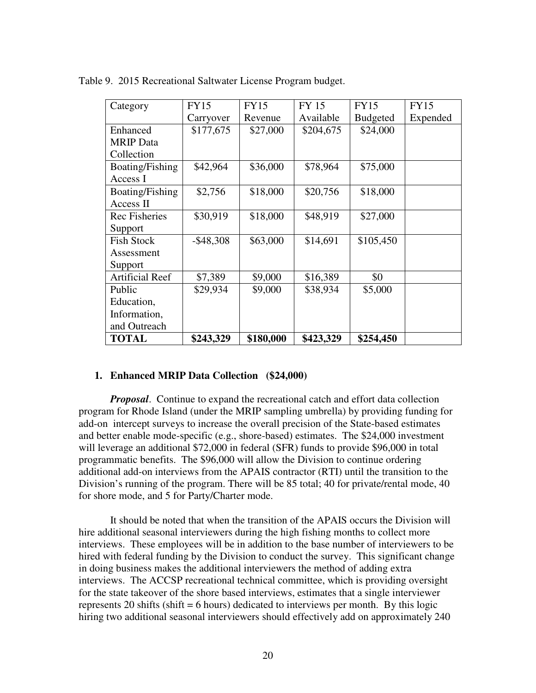| Category               | <b>FY15</b>  | <b>FY15</b> | <b>FY 15</b> | <b>FY15</b>     | <b>FY15</b> |
|------------------------|--------------|-------------|--------------|-----------------|-------------|
|                        | Carryover    | Revenue     | Available    | <b>Budgeted</b> | Expended    |
| Enhanced               | \$177,675    | \$27,000    | \$204,675    | \$24,000        |             |
| <b>MRIP</b> Data       |              |             |              |                 |             |
| Collection             |              |             |              |                 |             |
| Boating/Fishing        | \$42,964     | \$36,000    | \$78,964     | \$75,000        |             |
| Access I               |              |             |              |                 |             |
| Boating/Fishing        | \$2,756      | \$18,000    | \$20,756     | \$18,000        |             |
| Access II              |              |             |              |                 |             |
| <b>Rec Fisheries</b>   | \$30,919     | \$18,000    | \$48,919     | \$27,000        |             |
| Support                |              |             |              |                 |             |
| <b>Fish Stock</b>      | $-$ \$48,308 | \$63,000    | \$14,691     | \$105,450       |             |
| Assessment             |              |             |              |                 |             |
| Support                |              |             |              |                 |             |
| <b>Artificial Reef</b> | \$7,389      | \$9,000     | \$16,389     | \$0             |             |
| Public                 | \$29,934     | \$9,000     | \$38,934     | \$5,000         |             |
| Education,             |              |             |              |                 |             |
| Information,           |              |             |              |                 |             |
| and Outreach           |              |             |              |                 |             |
| <b>TOTAL</b>           | \$243,329    | \$180,000   | \$423,329    | \$254,450       |             |

Table 9. 2015 Recreational Saltwater License Program budget.

## **1. Enhanced MRIP Data Collection (\$24,000)**

*Proposal*. Continue to expand the recreational catch and effort data collection program for Rhode Island (under the MRIP sampling umbrella) by providing funding for add-on intercept surveys to increase the overall precision of the State-based estimates and better enable mode-specific (e.g., shore-based) estimates. The \$24,000 investment will leverage an additional \$72,000 in federal (SFR) funds to provide \$96,000 in total programmatic benefits. The \$96,000 will allow the Division to continue ordering additional add-on interviews from the APAIS contractor (RTI) until the transition to the Division's running of the program. There will be 85 total; 40 for private/rental mode, 40 for shore mode, and 5 for Party/Charter mode.

It should be noted that when the transition of the APAIS occurs the Division will hire additional seasonal interviewers during the high fishing months to collect more interviews. These employees will be in addition to the base number of interviewers to be hired with federal funding by the Division to conduct the survey. This significant change in doing business makes the additional interviewers the method of adding extra interviews. The ACCSP recreational technical committee, which is providing oversight for the state takeover of the shore based interviews, estimates that a single interviewer represents 20 shifts (shift  $= 6$  hours) dedicated to interviews per month. By this logic hiring two additional seasonal interviewers should effectively add on approximately 240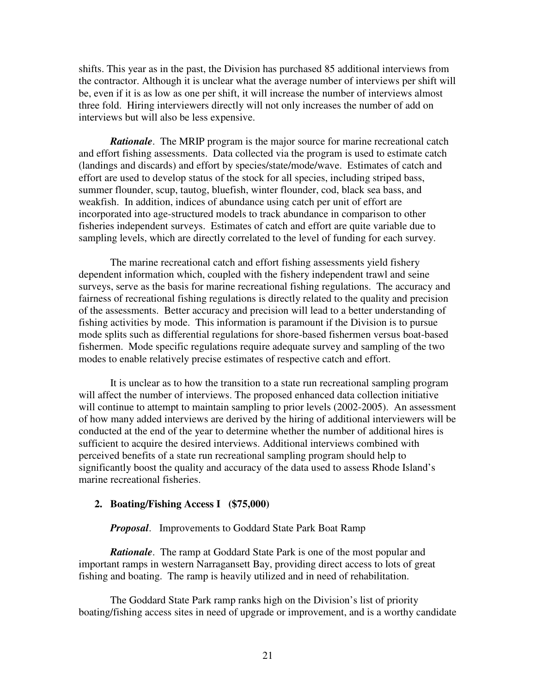shifts. This year as in the past, the Division has purchased 85 additional interviews from the contractor. Although it is unclear what the average number of interviews per shift will be, even if it is as low as one per shift, it will increase the number of interviews almost three fold. Hiring interviewers directly will not only increases the number of add on interviews but will also be less expensive.

*Rationale*. The MRIP program is the major source for marine recreational catch and effort fishing assessments. Data collected via the program is used to estimate catch (landings and discards) and effort by species/state/mode/wave. Estimates of catch and effort are used to develop status of the stock for all species, including striped bass, summer flounder, scup, tautog, bluefish, winter flounder, cod, black sea bass, and weakfish. In addition, indices of abundance using catch per unit of effort are incorporated into age-structured models to track abundance in comparison to other fisheries independent surveys. Estimates of catch and effort are quite variable due to sampling levels, which are directly correlated to the level of funding for each survey.

 The marine recreational catch and effort fishing assessments yield fishery dependent information which, coupled with the fishery independent trawl and seine surveys, serve as the basis for marine recreational fishing regulations. The accuracy and fairness of recreational fishing regulations is directly related to the quality and precision of the assessments. Better accuracy and precision will lead to a better understanding of fishing activities by mode. This information is paramount if the Division is to pursue mode splits such as differential regulations for shore-based fishermen versus boat-based fishermen. Mode specific regulations require adequate survey and sampling of the two modes to enable relatively precise estimates of respective catch and effort.

It is unclear as to how the transition to a state run recreational sampling program will affect the number of interviews. The proposed enhanced data collection initiative will continue to attempt to maintain sampling to prior levels (2002-2005). An assessment of how many added interviews are derived by the hiring of additional interviewers will be conducted at the end of the year to determine whether the number of additional hires is sufficient to acquire the desired interviews. Additional interviews combined with perceived benefits of a state run recreational sampling program should help to significantly boost the quality and accuracy of the data used to assess Rhode Island's marine recreational fisheries.

#### **2. Boating/Fishing Access I (\$75,000)**

#### *Proposal*. Improvements to Goddard State Park Boat Ramp

*Rationale*. The ramp at Goddard State Park is one of the most popular and important ramps in western Narragansett Bay, providing direct access to lots of great fishing and boating. The ramp is heavily utilized and in need of rehabilitation.

 The Goddard State Park ramp ranks high on the Division's list of priority boating/fishing access sites in need of upgrade or improvement, and is a worthy candidate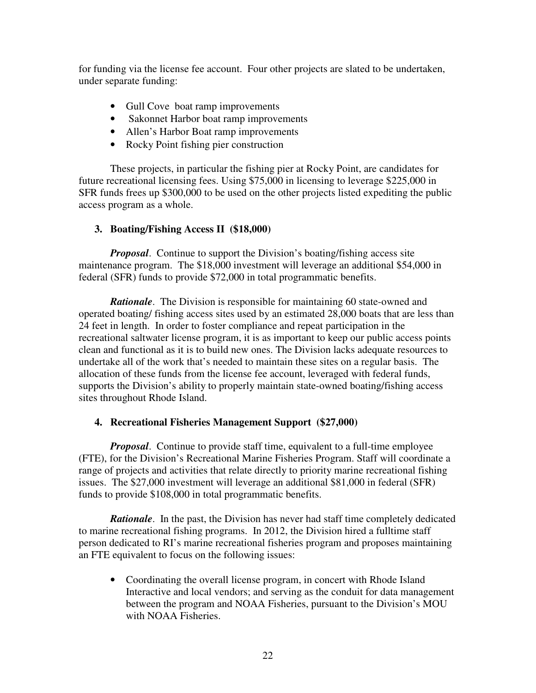for funding via the license fee account. Four other projects are slated to be undertaken, under separate funding:

- Gull Cove boat ramp improvements
- Sakonnet Harbor boat ramp improvements
- Allen's Harbor Boat ramp improvements
- Rocky Point fishing pier construction

 These projects, in particular the fishing pier at Rocky Point, are candidates for future recreational licensing fees. Using \$75,000 in licensing to leverage \$225,000 in SFR funds frees up \$300,000 to be used on the other projects listed expediting the public access program as a whole.

## **3. Boating/Fishing Access II (\$18,000)**

*Proposal*. Continue to support the Division's boating/fishing access site maintenance program. The \$18,000 investment will leverage an additional \$54,000 in federal (SFR) funds to provide \$72,000 in total programmatic benefits.

*Rationale.* The Division is responsible for maintaining 60 state-owned and operated boating/ fishing access sites used by an estimated 28,000 boats that are less than 24 feet in length. In order to foster compliance and repeat participation in the recreational saltwater license program, it is as important to keep our public access points clean and functional as it is to build new ones. The Division lacks adequate resources to undertake all of the work that's needed to maintain these sites on a regular basis. The allocation of these funds from the license fee account, leveraged with federal funds, supports the Division's ability to properly maintain state-owned boating/fishing access sites throughout Rhode Island.

## **4. Recreational Fisheries Management Support (\$27,000)**

*Proposal*. Continue to provide staff time, equivalent to a full-time employee (FTE), for the Division's Recreational Marine Fisheries Program. Staff will coordinate a range of projects and activities that relate directly to priority marine recreational fishing issues. The \$27,000 investment will leverage an additional \$81,000 in federal (SFR) funds to provide \$108,000 in total programmatic benefits.

*Rationale.* In the past, the Division has never had staff time completely dedicated to marine recreational fishing programs. In 2012, the Division hired a fulltime staff person dedicated to RI's marine recreational fisheries program and proposes maintaining an FTE equivalent to focus on the following issues:

• Coordinating the overall license program, in concert with Rhode Island Interactive and local vendors; and serving as the conduit for data management between the program and NOAA Fisheries, pursuant to the Division's MOU with NOAA Fisheries.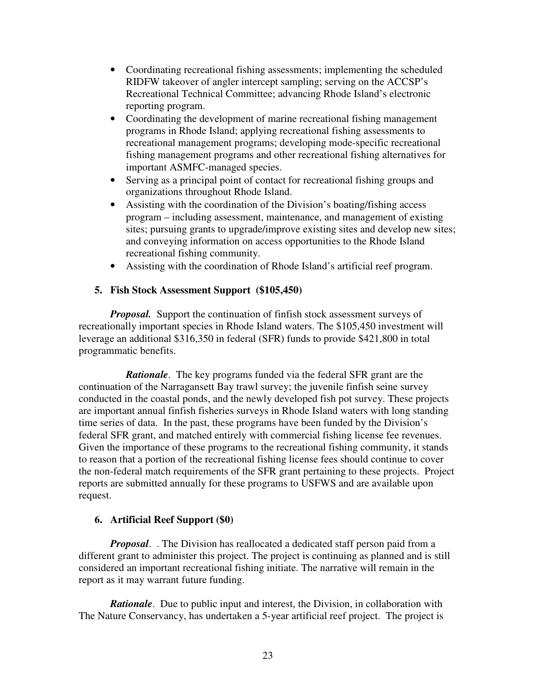- Coordinating recreational fishing assessments; implementing the scheduled RIDFW takeover of angler intercept sampling; serving on the ACCSP's Recreational Technical Committee; advancing Rhode Island's electronic reporting program.
- Coordinating the development of marine recreational fishing management programs in Rhode Island; applying recreational fishing assessments to recreational management programs; developing mode-specific recreational fishing management programs and other recreational fishing alternatives for important ASMFC-managed species.
- Serving as a principal point of contact for recreational fishing groups and organizations throughout Rhode Island.
- Assisting with the coordination of the Division's boating/fishing access program – including assessment, maintenance, and management of existing sites; pursuing grants to upgrade/improve existing sites and develop new sites; and conveying information on access opportunities to the Rhode Island recreational fishing community.
- Assisting with the coordination of Rhode Island's artificial reef program.

## **5. Fish Stock Assessment Support (\$105,450)**

*Proposal.* Support the continuation of finfish stock assessment surveys of recreationally important species in Rhode Island waters. The \$105,450 investment will leverage an additional \$316,350 in federal (SFR) funds to provide \$421,800 in total programmatic benefits.

*Rationale*. The key programs funded via the federal SFR grant are the continuation of the Narragansett Bay trawl survey; the juvenile finfish seine survey conducted in the coastal ponds, and the newly developed fish pot survey. These projects are important annual finfish fisheries surveys in Rhode Island waters with long standing time series of data. In the past, these programs have been funded by the Division's federal SFR grant, and matched entirely with commercial fishing license fee revenues. Given the importance of these programs to the recreational fishing community, it stands to reason that a portion of the recreational fishing license fees should continue to cover the non-federal match requirements of the SFR grant pertaining to these projects. Project reports are submitted annually for these programs to USFWS and are available upon request.

## **6. Artificial Reef Support (\$0)**

*Proposal*. . The Division has reallocated a dedicated staff person paid from a different grant to administer this project. The project is continuing as planned and is still considered an important recreational fishing initiate. The narrative will remain in the report as it may warrant future funding.

*Rationale.* Due to public input and interest, the Division, in collaboration with The Nature Conservancy, has undertaken a 5-year artificial reef project. The project is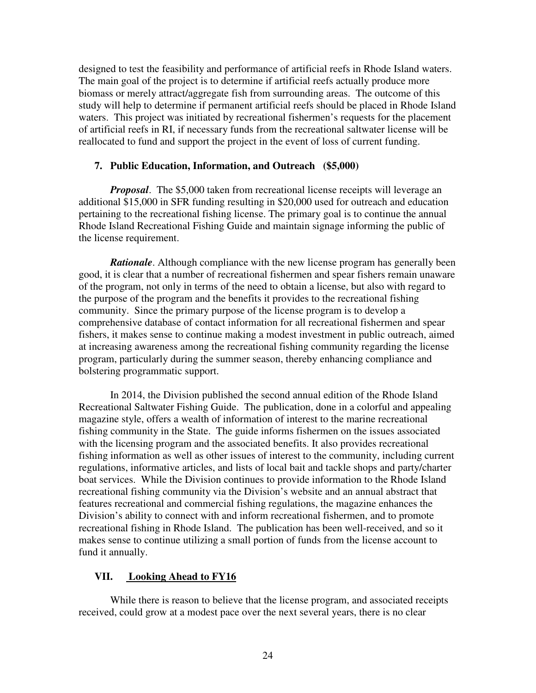designed to test the feasibility and performance of artificial reefs in Rhode Island waters. The main goal of the project is to determine if artificial reefs actually produce more biomass or merely attract/aggregate fish from surrounding areas. The outcome of this study will help to determine if permanent artificial reefs should be placed in Rhode Island waters. This project was initiated by recreational fishermen's requests for the placement of artificial reefs in RI, if necessary funds from the recreational saltwater license will be reallocated to fund and support the project in the event of loss of current funding.

## **7. Public Education, Information, and Outreach (\$5,000)**

*Proposal.* The \$5,000 taken from recreational license receipts will leverage an additional \$15,000 in SFR funding resulting in \$20,000 used for outreach and education pertaining to the recreational fishing license. The primary goal is to continue the annual Rhode Island Recreational Fishing Guide and maintain signage informing the public of the license requirement.

*Rationale*. Although compliance with the new license program has generally been good, it is clear that a number of recreational fishermen and spear fishers remain unaware of the program, not only in terms of the need to obtain a license, but also with regard to the purpose of the program and the benefits it provides to the recreational fishing community. Since the primary purpose of the license program is to develop a comprehensive database of contact information for all recreational fishermen and spear fishers, it makes sense to continue making a modest investment in public outreach, aimed at increasing awareness among the recreational fishing community regarding the license program, particularly during the summer season, thereby enhancing compliance and bolstering programmatic support.

In 2014, the Division published the second annual edition of the Rhode Island Recreational Saltwater Fishing Guide. The publication, done in a colorful and appealing magazine style, offers a wealth of information of interest to the marine recreational fishing community in the State. The guide informs fishermen on the issues associated with the licensing program and the associated benefits. It also provides recreational fishing information as well as other issues of interest to the community, including current regulations, informative articles, and lists of local bait and tackle shops and party/charter boat services. While the Division continues to provide information to the Rhode Island recreational fishing community via the Division's website and an annual abstract that features recreational and commercial fishing regulations, the magazine enhances the Division's ability to connect with and inform recreational fishermen, and to promote recreational fishing in Rhode Island. The publication has been well-received, and so it makes sense to continue utilizing a small portion of funds from the license account to fund it annually.

## **VII. Looking Ahead to FY16**

While there is reason to believe that the license program, and associated receipts received, could grow at a modest pace over the next several years, there is no clear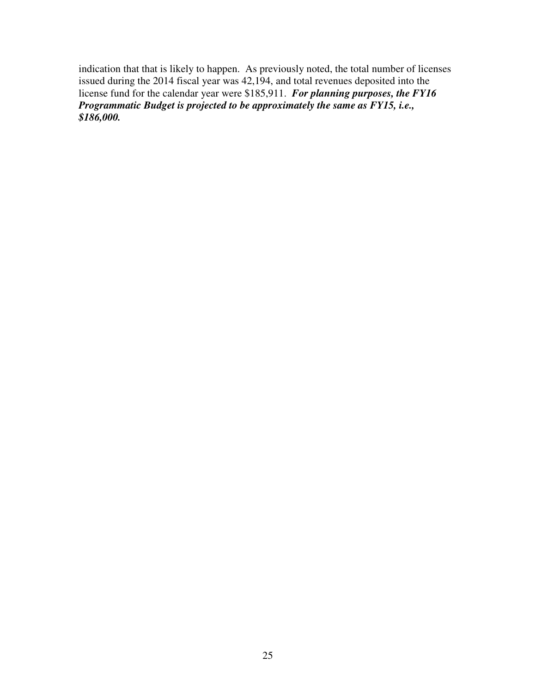indication that that is likely to happen. As previously noted, the total number of licenses issued during the 2014 fiscal year was 42,194, and total revenues deposited into the license fund for the calendar year were \$185,911. *For planning purposes, the FY16 Programmatic Budget is projected to be approximately the same as FY15, i.e., \$186,000.*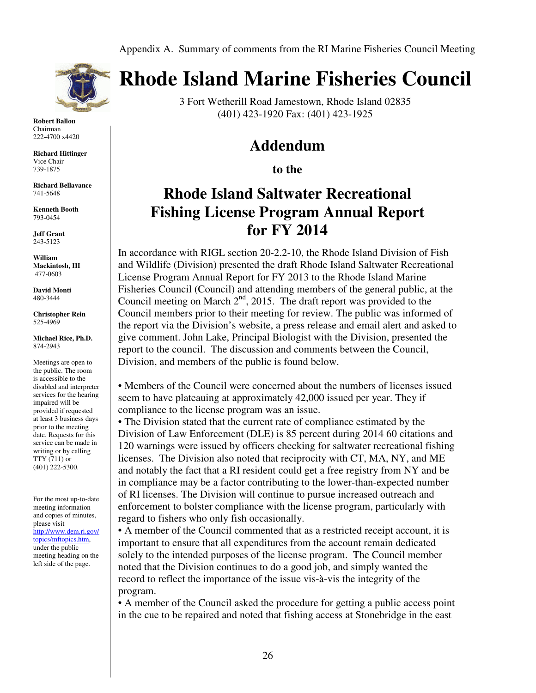

**Robert Ballou**  Chairman 222-4700 x4420

**Richard Hittinger**  Vice Chair 739-1875

**Richard Bellavance** 741-5648

**Kenneth Booth** 793-0454

**Jeff Grant**  243-5123

**William Mackintosh, III**  477-0603

**David Monti** 480-3444

**Christopher Rein**  525-4969

**Michael Rice, Ph.D.**  874-2943

Meetings are open to the public. The room is accessible to the disabled and interpreter services for the hearing impaired will be provided if requested at least 3 business days prior to the meeting date. Requests for this service can be made in writing or by calling TTY (711) or (401) 222-5300.

For the most up-to-date meeting information and copies of minutes, please visit http://www.dem.ri.gov/ topics/mftopics.htm, under the public meeting heading on the left side of the page.

# **Rhode Island Marine Fisheries Council**

3 Fort Wetherill Road Jamestown, Rhode Island 02835 (401) 423-1920 Fax: (401) 423-1925

## **Addendum**

**to the** 

# **Rhode Island Saltwater Recreational Fishing License Program Annual Report for FY 2014**

In accordance with RIGL section 20-2.2-10, the Rhode Island Division of Fish and Wildlife (Division) presented the draft Rhode Island Saltwater Recreational License Program Annual Report for FY 2013 to the Rhode Island Marine Fisheries Council (Council) and attending members of the general public, at the Council meeting on March  $2<sup>nd</sup>$ , 2015. The draft report was provided to the Council members prior to their meeting for review. The public was informed of the report via the Division's website, a press release and email alert and asked to give comment. John Lake, Principal Biologist with the Division, presented the report to the council. The discussion and comments between the Council, Division, and members of the public is found below.

• Members of the Council were concerned about the numbers of licenses issued seem to have plateauing at approximately 42,000 issued per year. They if compliance to the license program was an issue.

• The Division stated that the current rate of compliance estimated by the Division of Law Enforcement (DLE) is 85 percent during 2014 60 citations and 120 warnings were issued by officers checking for saltwater recreational fishing licenses. The Division also noted that reciprocity with CT, MA, NY, and ME and notably the fact that a RI resident could get a free registry from NY and be in compliance may be a factor contributing to the lower-than-expected number of RI licenses. The Division will continue to pursue increased outreach and enforcement to bolster compliance with the license program, particularly with regard to fishers who only fish occasionally.

• A member of the Council commented that as a restricted receipt account, it is important to ensure that all expenditures from the account remain dedicated solely to the intended purposes of the license program. The Council member noted that the Division continues to do a good job, and simply wanted the record to reflect the importance of the issue vis-à-vis the integrity of the program.

• A member of the Council asked the procedure for getting a public access point in the cue to be repaired and noted that fishing access at Stonebridge in the east